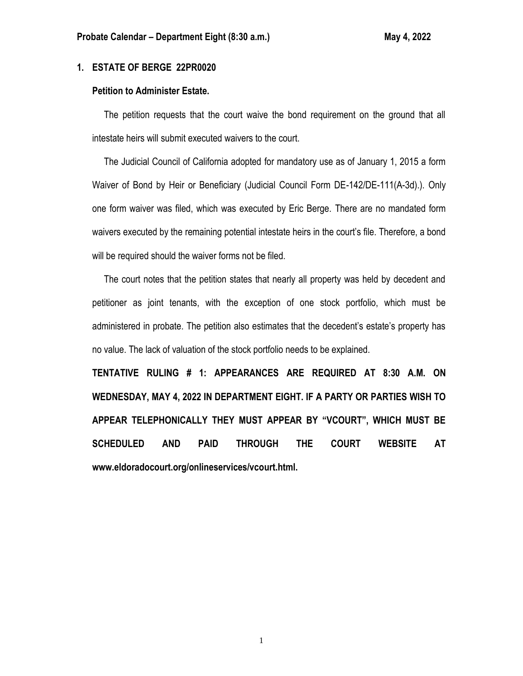# **1. ESTATE OF BERGE 22PR0020**

## **Petition to Administer Estate.**

 The petition requests that the court waive the bond requirement on the ground that all intestate heirs will submit executed waivers to the court.

 The Judicial Council of California adopted for mandatory use as of January 1, 2015 a form Waiver of Bond by Heir or Beneficiary (Judicial Council Form DE-142/DE-111(A-3d).). Only one form waiver was filed, which was executed by Eric Berge. There are no mandated form waivers executed by the remaining potential intestate heirs in the court's file. Therefore, a bond will be required should the waiver forms not be filed.

 The court notes that the petition states that nearly all property was held by decedent and petitioner as joint tenants, with the exception of one stock portfolio, which must be administered in probate. The petition also estimates that the decedent's estate's property has no value. The lack of valuation of the stock portfolio needs to be explained.

**TENTATIVE RULING # 1: APPEARANCES ARE REQUIRED AT 8:30 A.M. ON WEDNESDAY, MAY 4, 2022 IN DEPARTMENT EIGHT. IF A PARTY OR PARTIES WISH TO APPEAR TELEPHONICALLY THEY MUST APPEAR BY "VCOURT", WHICH MUST BE SCHEDULED AND PAID THROUGH THE COURT WEBSITE AT www.eldoradocourt.org/onlineservices/vcourt.html.**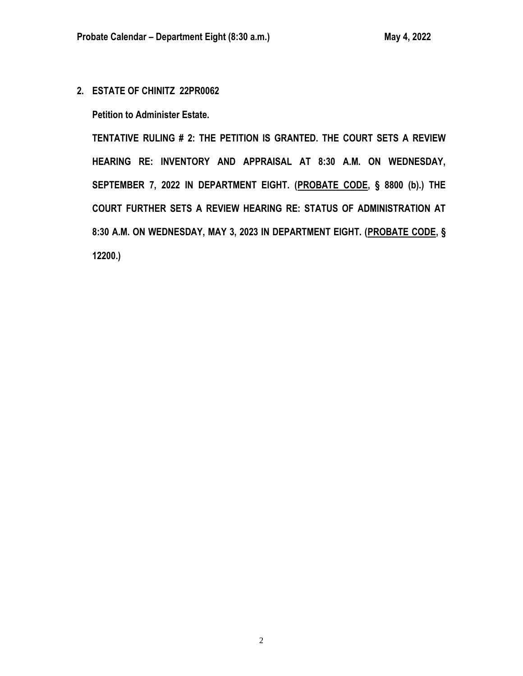**2. ESTATE OF CHINITZ 22PR0062**

**Petition to Administer Estate.**

**TENTATIVE RULING # 2: THE PETITION IS GRANTED. THE COURT SETS A REVIEW HEARING RE: INVENTORY AND APPRAISAL AT 8:30 A.M. ON WEDNESDAY, SEPTEMBER 7, 2022 IN DEPARTMENT EIGHT. (PROBATE CODE, § 8800 (b).) THE COURT FURTHER SETS A REVIEW HEARING RE: STATUS OF ADMINISTRATION AT 8:30 A.M. ON WEDNESDAY, MAY 3, 2023 IN DEPARTMENT EIGHT. (PROBATE CODE, § 12200.)**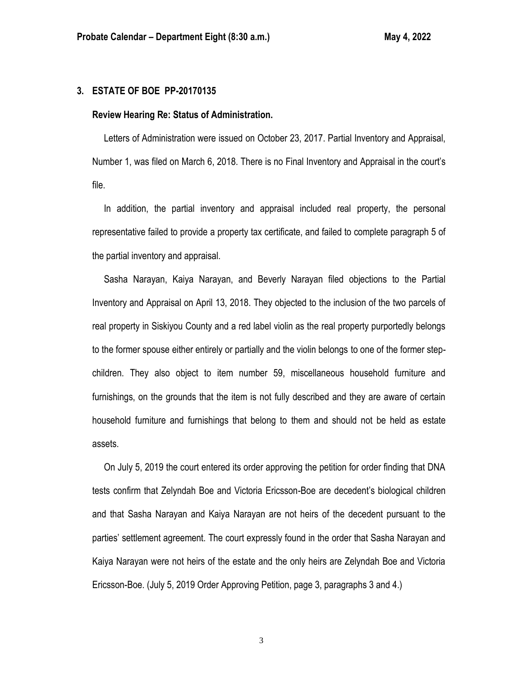# **3. ESTATE OF BOE PP-20170135**

### **Review Hearing Re: Status of Administration.**

 Letters of Administration were issued on October 23, 2017. Partial Inventory and Appraisal, Number 1, was filed on March 6, 2018. There is no Final Inventory and Appraisal in the court's file.

 In addition, the partial inventory and appraisal included real property, the personal representative failed to provide a property tax certificate, and failed to complete paragraph 5 of the partial inventory and appraisal.

 Sasha Narayan, Kaiya Narayan, and Beverly Narayan filed objections to the Partial Inventory and Appraisal on April 13, 2018. They objected to the inclusion of the two parcels of real property in Siskiyou County and a red label violin as the real property purportedly belongs to the former spouse either entirely or partially and the violin belongs to one of the former stepchildren. They also object to item number 59, miscellaneous household furniture and furnishings, on the grounds that the item is not fully described and they are aware of certain household furniture and furnishings that belong to them and should not be held as estate assets.

 On July 5, 2019 the court entered its order approving the petition for order finding that DNA tests confirm that Zelyndah Boe and Victoria Ericsson-Boe are decedent's biological children and that Sasha Narayan and Kaiya Narayan are not heirs of the decedent pursuant to the parties' settlement agreement. The court expressly found in the order that Sasha Narayan and Kaiya Narayan were not heirs of the estate and the only heirs are Zelyndah Boe and Victoria Ericsson-Boe. (July 5, 2019 Order Approving Petition, page 3, paragraphs 3 and 4.)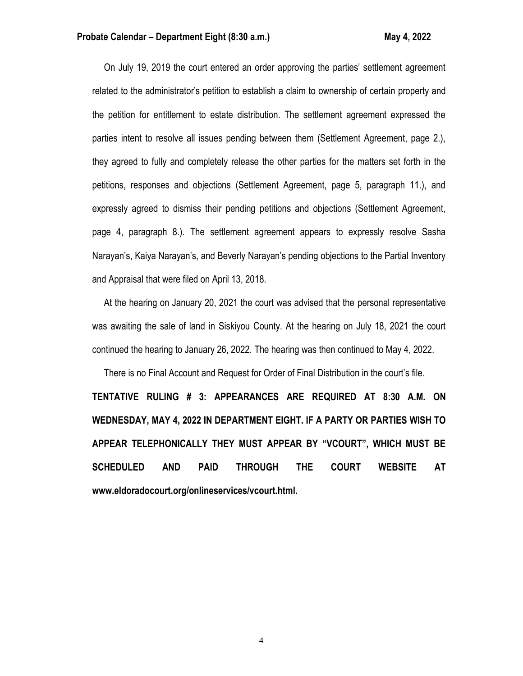On July 19, 2019 the court entered an order approving the parties' settlement agreement related to the administrator's petition to establish a claim to ownership of certain property and the petition for entitlement to estate distribution. The settlement agreement expressed the parties intent to resolve all issues pending between them (Settlement Agreement, page 2.), they agreed to fully and completely release the other parties for the matters set forth in the petitions, responses and objections (Settlement Agreement, page 5, paragraph 11.), and expressly agreed to dismiss their pending petitions and objections (Settlement Agreement, page 4, paragraph 8.). The settlement agreement appears to expressly resolve Sasha Narayan's, Kaiya Narayan's, and Beverly Narayan's pending objections to the Partial Inventory and Appraisal that were filed on April 13, 2018.

 At the hearing on January 20, 2021 the court was advised that the personal representative was awaiting the sale of land in Siskiyou County. At the hearing on July 18, 2021 the court continued the hearing to January 26, 2022. The hearing was then continued to May 4, 2022.

 There is no Final Account and Request for Order of Final Distribution in the court's file. **TENTATIVE RULING # 3: APPEARANCES ARE REQUIRED AT 8:30 A.M. ON WEDNESDAY, MAY 4, 2022 IN DEPARTMENT EIGHT. IF A PARTY OR PARTIES WISH TO APPEAR TELEPHONICALLY THEY MUST APPEAR BY "VCOURT", WHICH MUST BE SCHEDULED AND PAID THROUGH THE COURT WEBSITE AT www.eldoradocourt.org/onlineservices/vcourt.html.**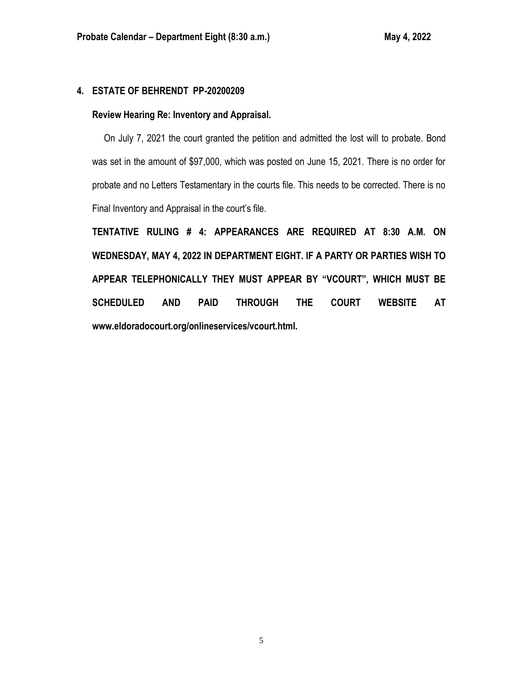# **4. ESTATE OF BEHRENDT PP-20200209**

# **Review Hearing Re: Inventory and Appraisal.**

 On July 7, 2021 the court granted the petition and admitted the lost will to probate. Bond was set in the amount of \$97,000, which was posted on June 15, 2021. There is no order for probate and no Letters Testamentary in the courts file. This needs to be corrected. There is no Final Inventory and Appraisal in the court's file.

**TENTATIVE RULING # 4: APPEARANCES ARE REQUIRED AT 8:30 A.M. ON WEDNESDAY, MAY 4, 2022 IN DEPARTMENT EIGHT. IF A PARTY OR PARTIES WISH TO APPEAR TELEPHONICALLY THEY MUST APPEAR BY "VCOURT", WHICH MUST BE SCHEDULED AND PAID THROUGH THE COURT WEBSITE AT www.eldoradocourt.org/onlineservices/vcourt.html.**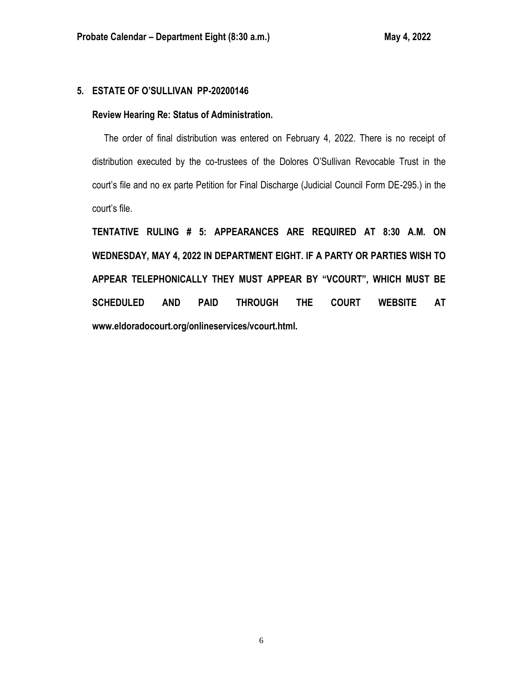## **5. ESTATE OF O'SULLIVAN PP-20200146**

## **Review Hearing Re: Status of Administration.**

 The order of final distribution was entered on February 4, 2022. There is no receipt of distribution executed by the co-trustees of the Dolores O'Sullivan Revocable Trust in the court's file and no ex parte Petition for Final Discharge (Judicial Council Form DE-295.) in the court's file.

**TENTATIVE RULING # 5: APPEARANCES ARE REQUIRED AT 8:30 A.M. ON WEDNESDAY, MAY 4, 2022 IN DEPARTMENT EIGHT. IF A PARTY OR PARTIES WISH TO APPEAR TELEPHONICALLY THEY MUST APPEAR BY "VCOURT", WHICH MUST BE SCHEDULED AND PAID THROUGH THE COURT WEBSITE AT www.eldoradocourt.org/onlineservices/vcourt.html.**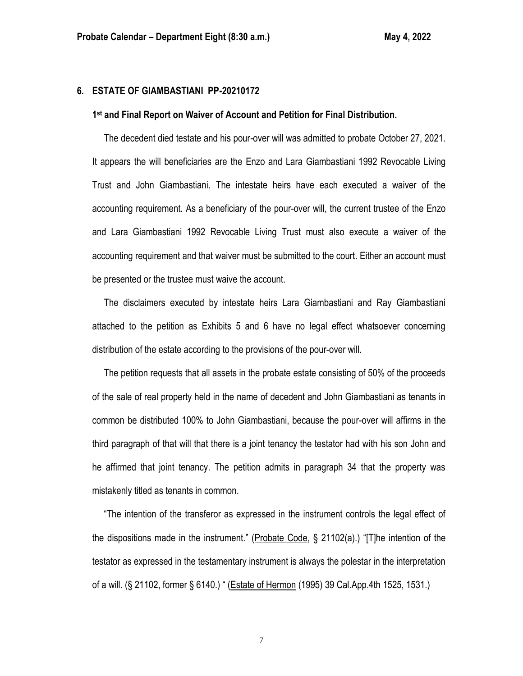## **6. ESTATE OF GIAMBASTIANI PP-20210172**

### **1 st and Final Report on Waiver of Account and Petition for Final Distribution.**

 The decedent died testate and his pour-over will was admitted to probate October 27, 2021. It appears the will beneficiaries are the Enzo and Lara Giambastiani 1992 Revocable Living Trust and John Giambastiani. The intestate heirs have each executed a waiver of the accounting requirement. As a beneficiary of the pour-over will, the current trustee of the Enzo and Lara Giambastiani 1992 Revocable Living Trust must also execute a waiver of the accounting requirement and that waiver must be submitted to the court. Either an account must be presented or the trustee must waive the account.

 The disclaimers executed by intestate heirs Lara Giambastiani and Ray Giambastiani attached to the petition as Exhibits 5 and 6 have no legal effect whatsoever concerning distribution of the estate according to the provisions of the pour-over will.

 The petition requests that all assets in the probate estate consisting of 50% of the proceeds of the sale of real property held in the name of decedent and John Giambastiani as tenants in common be distributed 100% to John Giambastiani, because the pour-over will affirms in the third paragraph of that will that there is a joint tenancy the testator had with his son John and he affirmed that joint tenancy. The petition admits in paragraph 34 that the property was mistakenly titled as tenants in common.

 "The intention of the transferor as expressed in the instrument controls the legal effect of the dispositions made in the instrument." (Probate Code, § 21102(a).) "[T]he intention of the testator as expressed in the testamentary instrument is always the polestar in the interpretation of a will. (§ 21102, former § 6140.) " (Estate of Hermon (1995) 39 Cal.App.4th 1525, 1531.)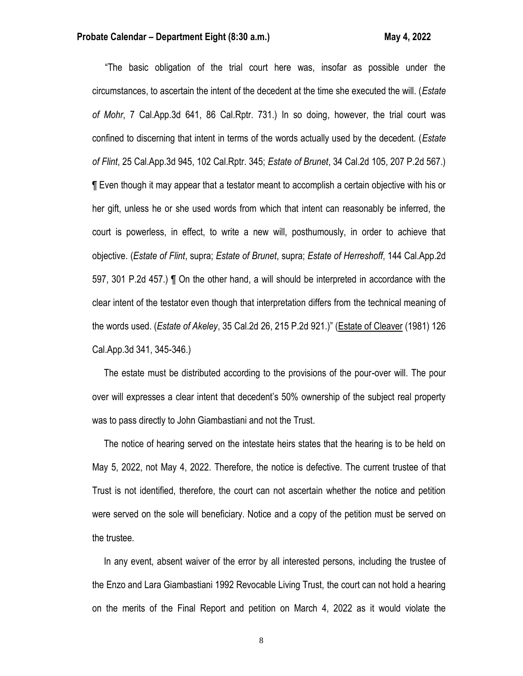### **Probate Calendar – Department Eight (8:30 a.m.) May 4, 2022**

"The basic obligation of the trial court here was, insofar as possible under the circumstances, to ascertain the intent of the decedent at the time she executed the will. (*Estate of Mohr*, 7 Cal.App.3d 641, 86 Cal.Rptr. 731.) In so doing, however, the trial court was confined to discerning that intent in terms of the words actually used by the decedent. (*Estate of Flint*, 25 Cal.App.3d 945, 102 Cal.Rptr. 345; *Estate of Brunet*, 34 Cal.2d 105, 207 P.2d 567.) ¶ Even though it may appear that a testator meant to accomplish a certain objective with his or her gift, unless he or she used words from which that intent can reasonably be inferred, the court is powerless, in effect, to write a new will, posthumously, in order to achieve that objective. (*Estate of Flint*, supra; *Estate of Brunet*, supra; *Estate of Herreshoff*, 144 Cal.App.2d 597, 301 P.2d 457.) ¶ On the other hand, a will should be interpreted in accordance with the clear intent of the testator even though that interpretation differs from the technical meaning of the words used. (*Estate of Akeley*, 35 Cal.2d 26, 215 P.2d 921.)" (Estate of Cleaver (1981) 126 Cal.App.3d 341, 345-346.)

 The estate must be distributed according to the provisions of the pour-over will. The pour over will expresses a clear intent that decedent's 50% ownership of the subject real property was to pass directly to John Giambastiani and not the Trust.

 The notice of hearing served on the intestate heirs states that the hearing is to be held on May 5, 2022, not May 4, 2022. Therefore, the notice is defective. The current trustee of that Trust is not identified, therefore, the court can not ascertain whether the notice and petition were served on the sole will beneficiary. Notice and a copy of the petition must be served on the trustee.

 In any event, absent waiver of the error by all interested persons, including the trustee of the Enzo and Lara Giambastiani 1992 Revocable Living Trust, the court can not hold a hearing on the merits of the Final Report and petition on March 4, 2022 as it would violate the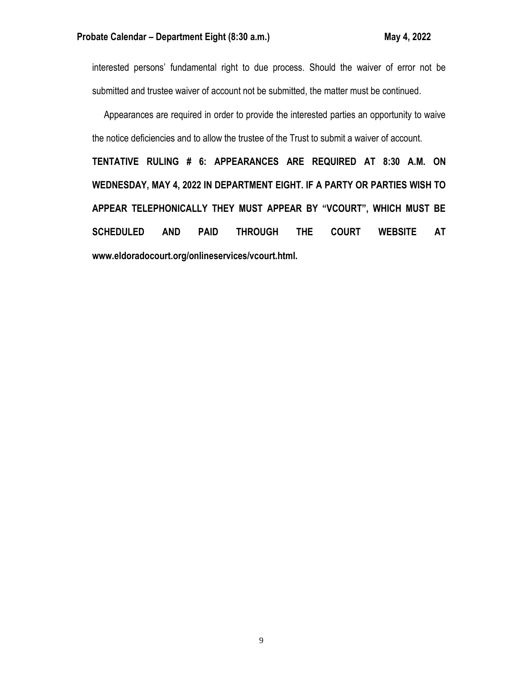interested persons' fundamental right to due process. Should the waiver of error not be submitted and trustee waiver of account not be submitted, the matter must be continued.

 Appearances are required in order to provide the interested parties an opportunity to waive the notice deficiencies and to allow the trustee of the Trust to submit a waiver of account.

**TENTATIVE RULING # 6: APPEARANCES ARE REQUIRED AT 8:30 A.M. ON WEDNESDAY, MAY 4, 2022 IN DEPARTMENT EIGHT. IF A PARTY OR PARTIES WISH TO APPEAR TELEPHONICALLY THEY MUST APPEAR BY "VCOURT", WHICH MUST BE SCHEDULED AND PAID THROUGH THE COURT WEBSITE AT www.eldoradocourt.org/onlineservices/vcourt.html.**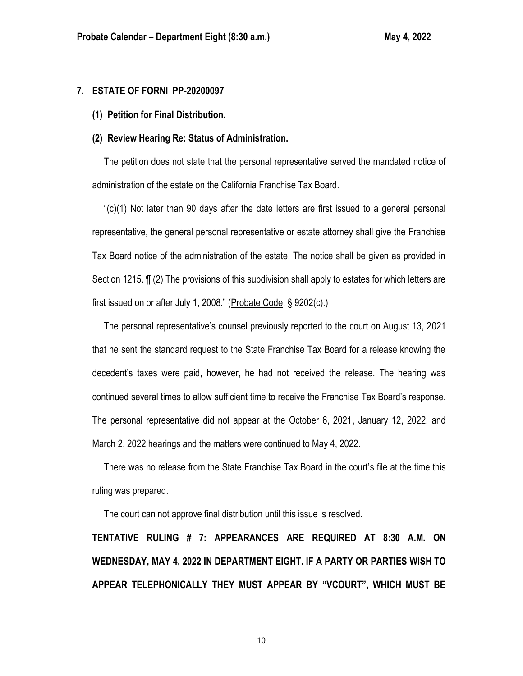## **7. ESTATE OF FORNI PP-20200097**

**(1) Petition for Final Distribution.**

### **(2) Review Hearing Re: Status of Administration.**

 The petition does not state that the personal representative served the mandated notice of administration of the estate on the California Franchise Tax Board.

 "(c)(1) Not later than 90 days after the date letters are first issued to a general personal representative, the general personal representative or estate attorney shall give the Franchise Tax Board notice of the administration of the estate. The notice shall be given as provided in Section 1215. ¶ (2) The provisions of this subdivision shall apply to estates for which letters are first issued on or after July 1, 2008." (Probate Code, § 9202(c).)

 The personal representative's counsel previously reported to the court on August 13, 2021 that he sent the standard request to the State Franchise Tax Board for a release knowing the decedent's taxes were paid, however, he had not received the release. The hearing was continued several times to allow sufficient time to receive the Franchise Tax Board's response. The personal representative did not appear at the October 6, 2021, January 12, 2022, and March 2, 2022 hearings and the matters were continued to May 4, 2022.

 There was no release from the State Franchise Tax Board in the court's file at the time this ruling was prepared.

The court can not approve final distribution until this issue is resolved.

**TENTATIVE RULING # 7: APPEARANCES ARE REQUIRED AT 8:30 A.M. ON WEDNESDAY, MAY 4, 2022 IN DEPARTMENT EIGHT. IF A PARTY OR PARTIES WISH TO APPEAR TELEPHONICALLY THEY MUST APPEAR BY "VCOURT", WHICH MUST BE**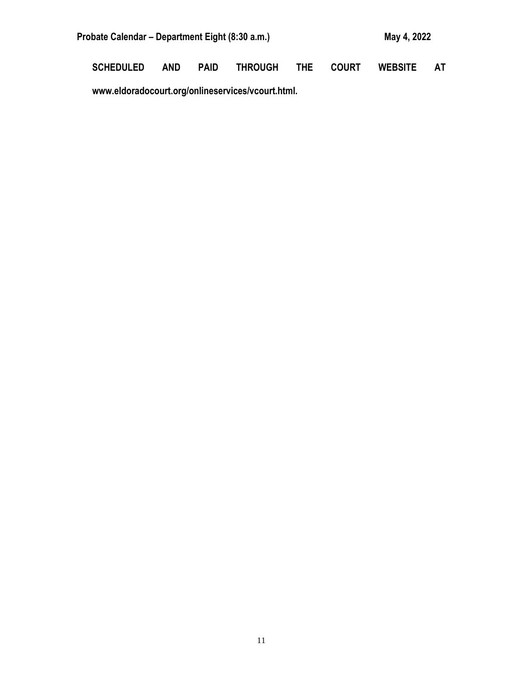| Probate Calendar – Department Eight (8:30 a.m.) | May 4, 2022 |
|-------------------------------------------------|-------------|
|                                                 |             |

**SCHEDULED AND PAID THROUGH THE COURT WEBSITE AT** 

**www.eldoradocourt.org/onlineservices/vcourt.html.**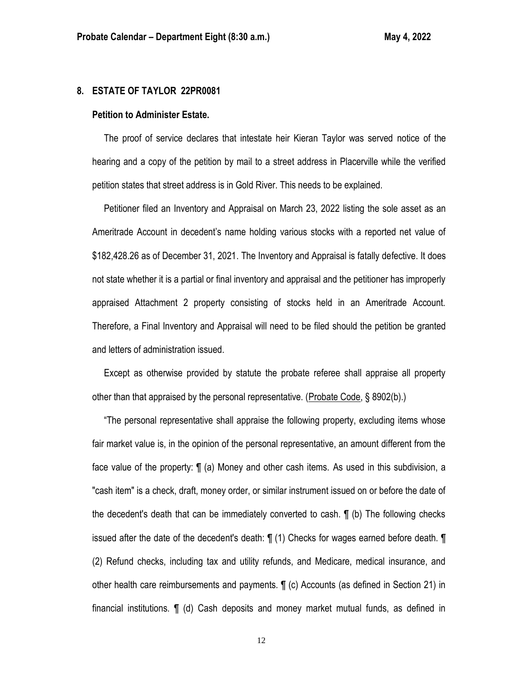### **8. ESTATE OF TAYLOR 22PR0081**

### **Petition to Administer Estate.**

 The proof of service declares that intestate heir Kieran Taylor was served notice of the hearing and a copy of the petition by mail to a street address in Placerville while the verified petition states that street address is in Gold River. This needs to be explained.

 Petitioner filed an Inventory and Appraisal on March 23, 2022 listing the sole asset as an Ameritrade Account in decedent's name holding various stocks with a reported net value of \$182,428.26 as of December 31, 2021. The Inventory and Appraisal is fatally defective. It does not state whether it is a partial or final inventory and appraisal and the petitioner has improperly appraised Attachment 2 property consisting of stocks held in an Ameritrade Account. Therefore, a Final Inventory and Appraisal will need to be filed should the petition be granted and letters of administration issued.

 Except as otherwise provided by statute the probate referee shall appraise all property other than that appraised by the personal representative. (Probate Code, § 8902(b).)

 "The personal representative shall appraise the following property, excluding items whose fair market value is, in the opinion of the personal representative, an amount different from the face value of the property: ¶ (a) Money and other cash items. As used in this subdivision, a "cash item" is a check, draft, money order, or similar instrument issued on or before the date of the decedent's death that can be immediately converted to cash. ¶ (b) The following checks issued after the date of the decedent's death: ¶ (1) Checks for wages earned before death. ¶ (2) Refund checks, including tax and utility refunds, and Medicare, medical insurance, and other health care reimbursements and payments. ¶ (c) Accounts (as defined in Section 21) in financial institutions. ¶ (d) Cash deposits and money market mutual funds, as defined in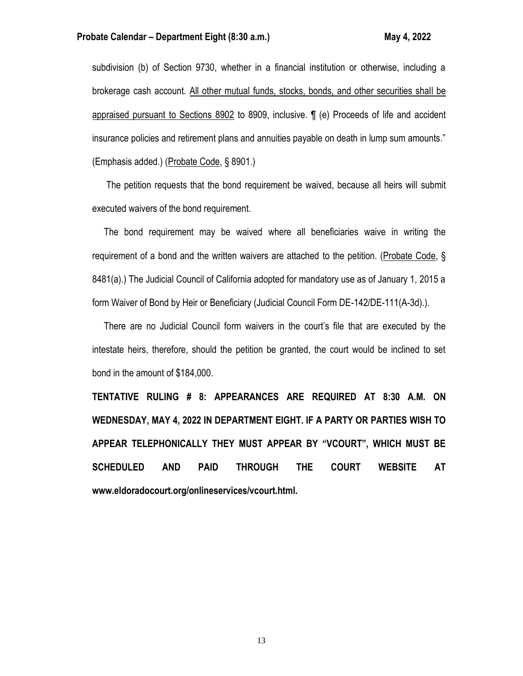subdivision (b) of Section 9730, whether in a financial institution or otherwise, including a brokerage cash account. All other mutual funds, stocks, bonds, and other securities shall be appraised pursuant to Sections 8902 to 8909, inclusive. ¶ (e) Proceeds of life and accident insurance policies and retirement plans and annuities payable on death in lump sum amounts." (Emphasis added.) (Probate Code, § 8901.)

 The petition requests that the bond requirement be waived, because all heirs will submit executed waivers of the bond requirement.

 The bond requirement may be waived where all beneficiaries waive in writing the requirement of a bond and the written waivers are attached to the petition. (Probate Code, § 8481(a).) The Judicial Council of California adopted for mandatory use as of January 1, 2015 a form Waiver of Bond by Heir or Beneficiary (Judicial Council Form DE-142/DE-111(A-3d).).

 There are no Judicial Council form waivers in the court's file that are executed by the intestate heirs, therefore, should the petition be granted, the court would be inclined to set bond in the amount of \$184,000.

**TENTATIVE RULING # 8: APPEARANCES ARE REQUIRED AT 8:30 A.M. ON WEDNESDAY, MAY 4, 2022 IN DEPARTMENT EIGHT. IF A PARTY OR PARTIES WISH TO APPEAR TELEPHONICALLY THEY MUST APPEAR BY "VCOURT", WHICH MUST BE SCHEDULED AND PAID THROUGH THE COURT WEBSITE AT www.eldoradocourt.org/onlineservices/vcourt.html.**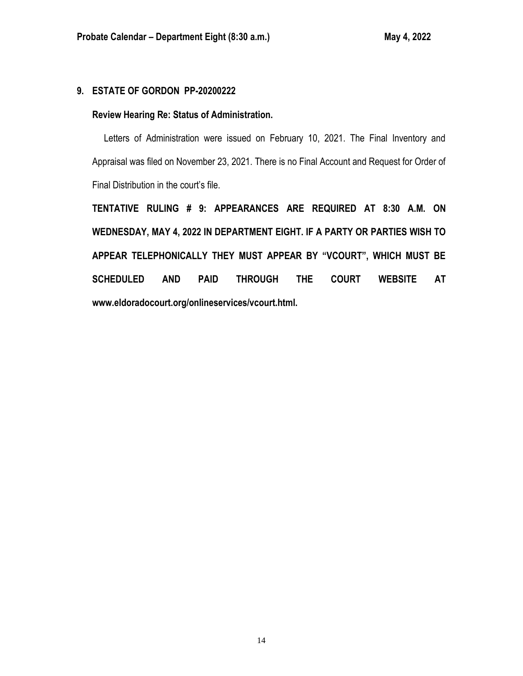# **9. ESTATE OF GORDON PP-20200222**

# **Review Hearing Re: Status of Administration.**

 Letters of Administration were issued on February 10, 2021. The Final Inventory and Appraisal was filed on November 23, 2021. There is no Final Account and Request for Order of Final Distribution in the court's file.

**TENTATIVE RULING # 9: APPEARANCES ARE REQUIRED AT 8:30 A.M. ON WEDNESDAY, MAY 4, 2022 IN DEPARTMENT EIGHT. IF A PARTY OR PARTIES WISH TO APPEAR TELEPHONICALLY THEY MUST APPEAR BY "VCOURT", WHICH MUST BE SCHEDULED AND PAID THROUGH THE COURT WEBSITE AT www.eldoradocourt.org/onlineservices/vcourt.html.**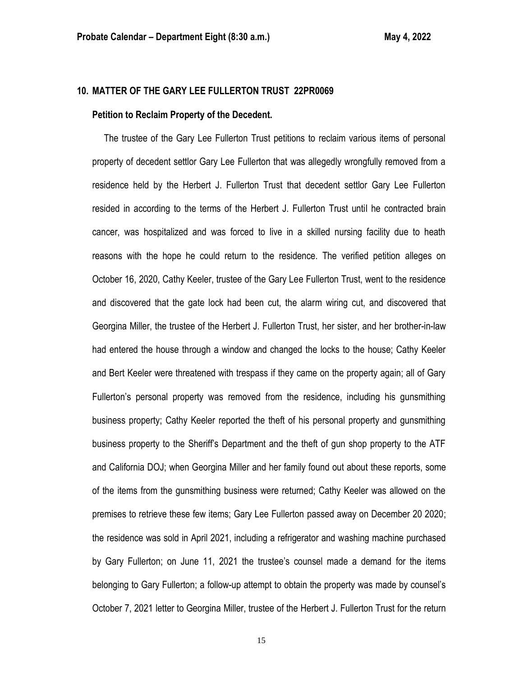# **10. MATTER OF THE GARY LEE FULLERTON TRUST 22PR0069**

#### **Petition to Reclaim Property of the Decedent.**

 The trustee of the Gary Lee Fullerton Trust petitions to reclaim various items of personal property of decedent settlor Gary Lee Fullerton that was allegedly wrongfully removed from a residence held by the Herbert J. Fullerton Trust that decedent settlor Gary Lee Fullerton resided in according to the terms of the Herbert J. Fullerton Trust until he contracted brain cancer, was hospitalized and was forced to live in a skilled nursing facility due to heath reasons with the hope he could return to the residence. The verified petition alleges on October 16, 2020, Cathy Keeler, trustee of the Gary Lee Fullerton Trust, went to the residence and discovered that the gate lock had been cut, the alarm wiring cut, and discovered that Georgina Miller, the trustee of the Herbert J. Fullerton Trust, her sister, and her brother-in-law had entered the house through a window and changed the locks to the house; Cathy Keeler and Bert Keeler were threatened with trespass if they came on the property again; all of Gary Fullerton's personal property was removed from the residence, including his gunsmithing business property; Cathy Keeler reported the theft of his personal property and gunsmithing business property to the Sheriff's Department and the theft of gun shop property to the ATF and California DOJ; when Georgina Miller and her family found out about these reports, some of the items from the gunsmithing business were returned; Cathy Keeler was allowed on the premises to retrieve these few items; Gary Lee Fullerton passed away on December 20 2020; the residence was sold in April 2021, including a refrigerator and washing machine purchased by Gary Fullerton; on June 11, 2021 the trustee's counsel made a demand for the items belonging to Gary Fullerton; a follow-up attempt to obtain the property was made by counsel's October 7, 2021 letter to Georgina Miller, trustee of the Herbert J. Fullerton Trust for the return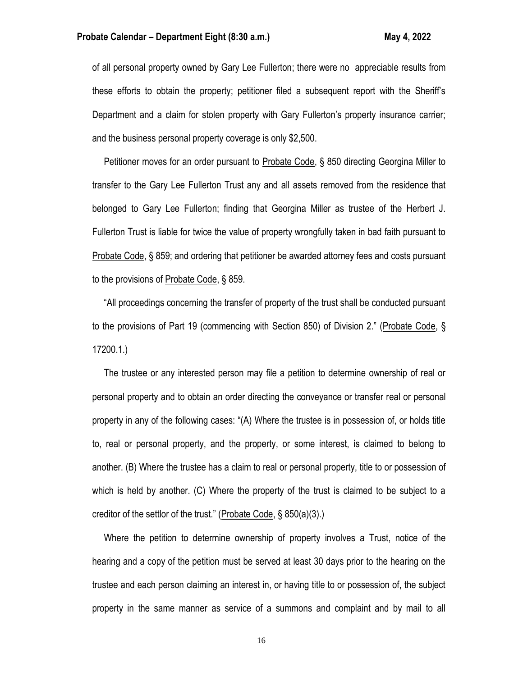of all personal property owned by Gary Lee Fullerton; there were no appreciable results from these efforts to obtain the property; petitioner filed a subsequent report with the Sheriff's Department and a claim for stolen property with Gary Fullerton's property insurance carrier; and the business personal property coverage is only \$2,500.

 Petitioner moves for an order pursuant to Probate Code, § 850 directing Georgina Miller to transfer to the Gary Lee Fullerton Trust any and all assets removed from the residence that belonged to Gary Lee Fullerton; finding that Georgina Miller as trustee of the Herbert J. Fullerton Trust is liable for twice the value of property wrongfully taken in bad faith pursuant to Probate Code, § 859; and ordering that petitioner be awarded attorney fees and costs pursuant to the provisions of Probate Code, § 859.

 "All proceedings concerning the transfer of property of the trust shall be conducted pursuant to the provisions of Part 19 (commencing with Section 850) of Division 2." (Probate Code, § 17200.1.)

 The trustee or any interested person may file a petition to determine ownership of real or personal property and to obtain an order directing the conveyance or transfer real or personal property in any of the following cases: "(A) Where the trustee is in possession of, or holds title to, real or personal property, and the property, or some interest, is claimed to belong to another. (B) Where the trustee has a claim to real or personal property, title to or possession of which is held by another. (C) Where the property of the trust is claimed to be subject to a creditor of the settlor of the trust." (Probate Code, § 850(a)(3).)

 Where the petition to determine ownership of property involves a Trust, notice of the hearing and a copy of the petition must be served at least 30 days prior to the hearing on the trustee and each person claiming an interest in, or having title to or possession of, the subject property in the same manner as service of a summons and complaint and by mail to all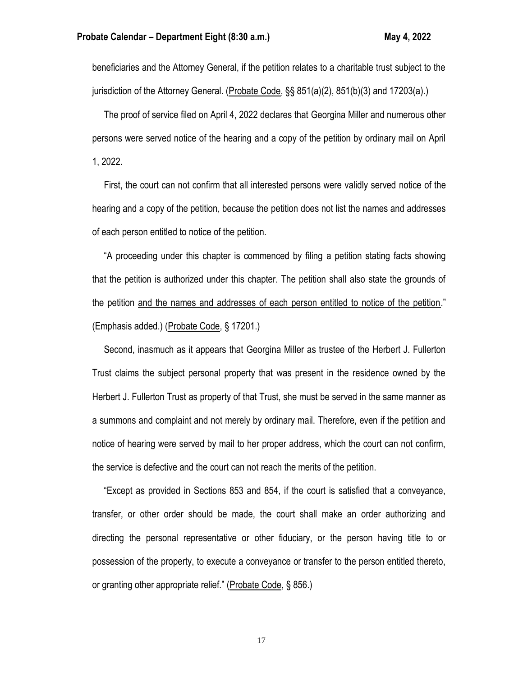beneficiaries and the Attorney General, if the petition relates to a charitable trust subject to the jurisdiction of the Attorney General. (Probate Code, §§ 851(a)(2), 851(b)(3) and 17203(a).)

 The proof of service filed on April 4, 2022 declares that Georgina Miller and numerous other persons were served notice of the hearing and a copy of the petition by ordinary mail on April 1, 2022.

 First, the court can not confirm that all interested persons were validly served notice of the hearing and a copy of the petition, because the petition does not list the names and addresses of each person entitled to notice of the petition.

 "A proceeding under this chapter is commenced by filing a petition stating facts showing that the petition is authorized under this chapter. The petition shall also state the grounds of the petition and the names and addresses of each person entitled to notice of the petition." (Emphasis added.) (Probate Code, § 17201.)

 Second, inasmuch as it appears that Georgina Miller as trustee of the Herbert J. Fullerton Trust claims the subject personal property that was present in the residence owned by the Herbert J. Fullerton Trust as property of that Trust, she must be served in the same manner as a summons and complaint and not merely by ordinary mail. Therefore, even if the petition and notice of hearing were served by mail to her proper address, which the court can not confirm, the service is defective and the court can not reach the merits of the petition.

 "Except as provided in Sections 853 and 854, if the court is satisfied that a conveyance, transfer, or other order should be made, the court shall make an order authorizing and directing the personal representative or other fiduciary, or the person having title to or possession of the property, to execute a conveyance or transfer to the person entitled thereto, or granting other appropriate relief." (Probate Code, § 856.)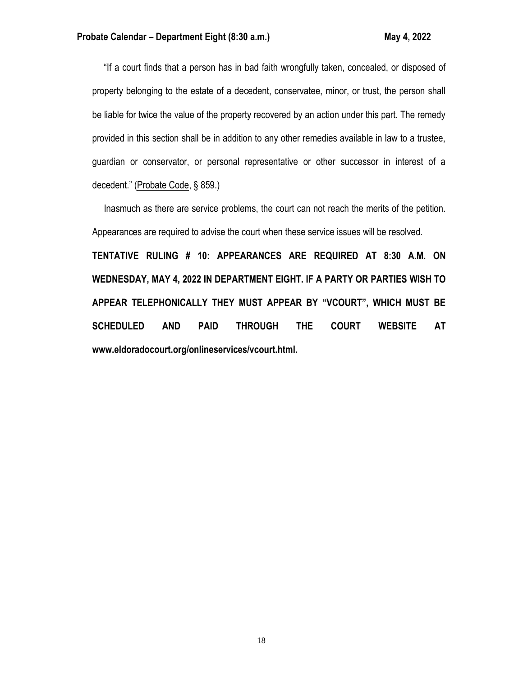"If a court finds that a person has in bad faith wrongfully taken, concealed, or disposed of property belonging to the estate of a decedent, conservatee, minor, or trust, the person shall be liable for twice the value of the property recovered by an action under this part. The remedy provided in this section shall be in addition to any other remedies available in law to a trustee, guardian or conservator, or personal representative or other successor in interest of a decedent." (Probate Code, § 859.)

 Inasmuch as there are service problems, the court can not reach the merits of the petition. Appearances are required to advise the court when these service issues will be resolved.

**TENTATIVE RULING # 10: APPEARANCES ARE REQUIRED AT 8:30 A.M. ON WEDNESDAY, MAY 4, 2022 IN DEPARTMENT EIGHT. IF A PARTY OR PARTIES WISH TO APPEAR TELEPHONICALLY THEY MUST APPEAR BY "VCOURT", WHICH MUST BE SCHEDULED AND PAID THROUGH THE COURT WEBSITE AT www.eldoradocourt.org/onlineservices/vcourt.html.**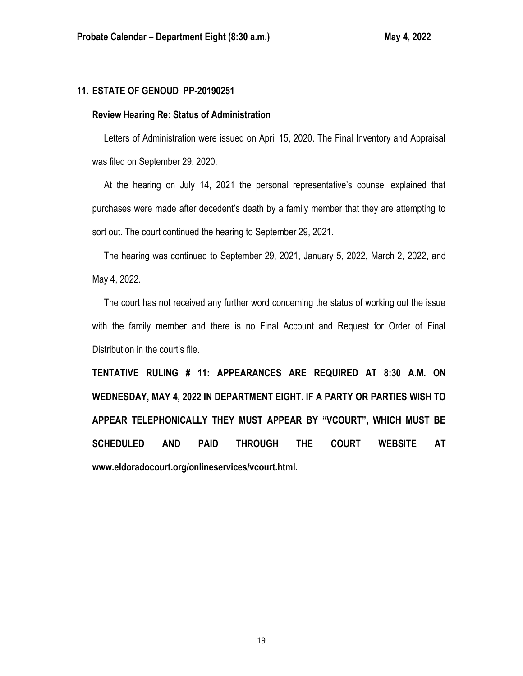# **11. ESTATE OF GENOUD PP-20190251**

### **Review Hearing Re: Status of Administration**

 Letters of Administration were issued on April 15, 2020. The Final Inventory and Appraisal was filed on September 29, 2020.

 At the hearing on July 14, 2021 the personal representative's counsel explained that purchases were made after decedent's death by a family member that they are attempting to sort out. The court continued the hearing to September 29, 2021.

 The hearing was continued to September 29, 2021, January 5, 2022, March 2, 2022, and May 4, 2022.

 The court has not received any further word concerning the status of working out the issue with the family member and there is no Final Account and Request for Order of Final Distribution in the court's file.

**TENTATIVE RULING # 11: APPEARANCES ARE REQUIRED AT 8:30 A.M. ON WEDNESDAY, MAY 4, 2022 IN DEPARTMENT EIGHT. IF A PARTY OR PARTIES WISH TO APPEAR TELEPHONICALLY THEY MUST APPEAR BY "VCOURT", WHICH MUST BE SCHEDULED AND PAID THROUGH THE COURT WEBSITE AT www.eldoradocourt.org/onlineservices/vcourt.html.**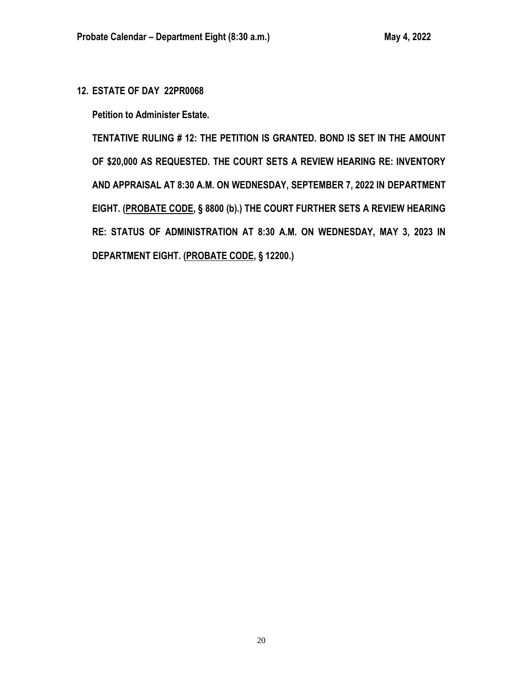**12. ESTATE OF DAY 22PR0068**

**Petition to Administer Estate.**

**TENTATIVE RULING # 12: THE PETITION IS GRANTED. BOND IS SET IN THE AMOUNT OF \$20,000 AS REQUESTED. THE COURT SETS A REVIEW HEARING RE: INVENTORY AND APPRAISAL AT 8:30 A.M. ON WEDNESDAY, SEPTEMBER 7, 2022 IN DEPARTMENT EIGHT. (PROBATE CODE, § 8800 (b).) THE COURT FURTHER SETS A REVIEW HEARING RE: STATUS OF ADMINISTRATION AT 8:30 A.M. ON WEDNESDAY, MAY 3, 2023 IN DEPARTMENT EIGHT. (PROBATE CODE, § 12200.)**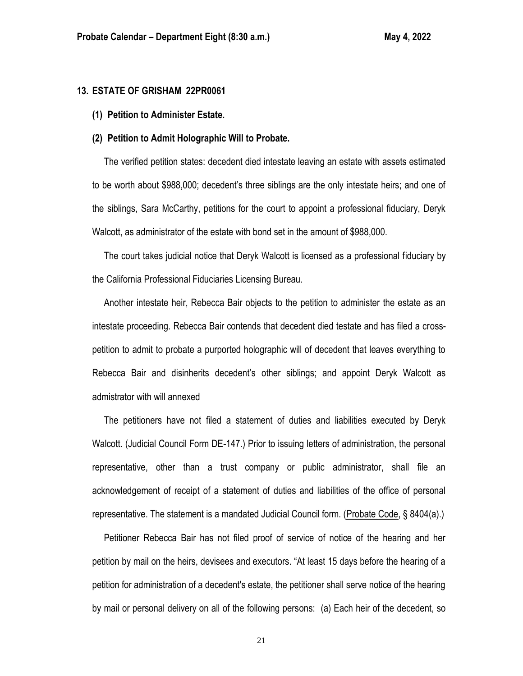## **13. ESTATE OF GRISHAM 22PR0061**

**(1) Petition to Administer Estate.**

# **(2) Petition to Admit Holographic Will to Probate.**

 The verified petition states: decedent died intestate leaving an estate with assets estimated to be worth about \$988,000; decedent's three siblings are the only intestate heirs; and one of the siblings, Sara McCarthy, petitions for the court to appoint a professional fiduciary, Deryk Walcott, as administrator of the estate with bond set in the amount of \$988,000.

 The court takes judicial notice that Deryk Walcott is licensed as a professional fiduciary by the California Professional Fiduciaries Licensing Bureau.

 Another intestate heir, Rebecca Bair objects to the petition to administer the estate as an intestate proceeding. Rebecca Bair contends that decedent died testate and has filed a crosspetition to admit to probate a purported holographic will of decedent that leaves everything to Rebecca Bair and disinherits decedent's other siblings; and appoint Deryk Walcott as admistrator with will annexed

 The petitioners have not filed a statement of duties and liabilities executed by Deryk Walcott. (Judicial Council Form DE-147.) Prior to issuing letters of administration, the personal representative, other than a trust company or public administrator, shall file an acknowledgement of receipt of a statement of duties and liabilities of the office of personal representative. The statement is a mandated Judicial Council form. (Probate Code, § 8404(a).)

 Petitioner Rebecca Bair has not filed proof of service of notice of the hearing and her petition by mail on the heirs, devisees and executors. "At least 15 days before the hearing of a petition for administration of a decedent's estate, the petitioner shall serve notice of the hearing by mail or personal delivery on all of the following persons: (a) Each heir of the decedent, so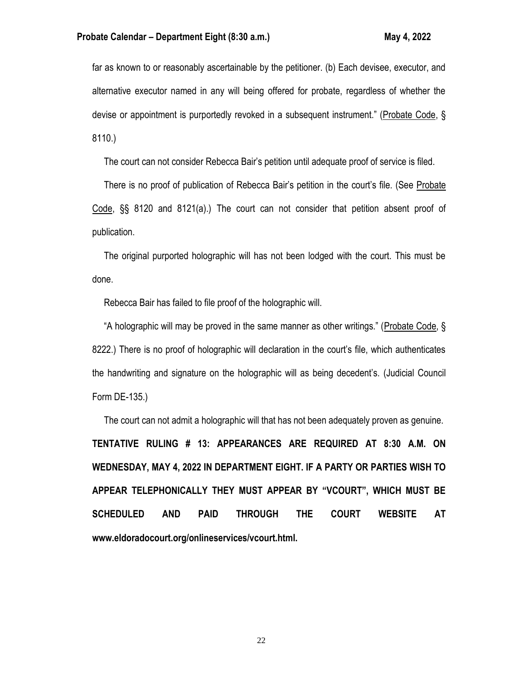far as known to or reasonably ascertainable by the petitioner. (b) Each devisee, executor, and alternative executor named in any will being offered for probate, regardless of whether the devise or appointment is purportedly revoked in a subsequent instrument." (Probate Code, § 8110.)

The court can not consider Rebecca Bair's petition until adequate proof of service is filed.

 There is no proof of publication of Rebecca Bair's petition in the court's file. (See Probate Code, §§ 8120 and 8121(a).) The court can not consider that petition absent proof of publication.

 The original purported holographic will has not been lodged with the court. This must be done.

Rebecca Bair has failed to file proof of the holographic will.

 "A holographic will may be proved in the same manner as other writings." (Probate Code, § 8222.) There is no proof of holographic will declaration in the court's file, which authenticates the handwriting and signature on the holographic will as being decedent's. (Judicial Council Form DE-135.)

 The court can not admit a holographic will that has not been adequately proven as genuine. **TENTATIVE RULING # 13: APPEARANCES ARE REQUIRED AT 8:30 A.M. ON WEDNESDAY, MAY 4, 2022 IN DEPARTMENT EIGHT. IF A PARTY OR PARTIES WISH TO APPEAR TELEPHONICALLY THEY MUST APPEAR BY "VCOURT", WHICH MUST BE SCHEDULED AND PAID THROUGH THE COURT WEBSITE AT www.eldoradocourt.org/onlineservices/vcourt.html.**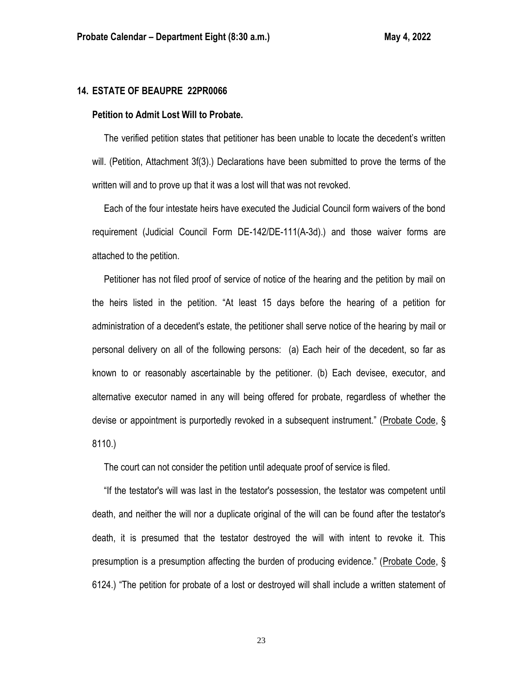### **14. ESTATE OF BEAUPRE 22PR0066**

### **Petition to Admit Lost Will to Probate.**

 The verified petition states that petitioner has been unable to locate the decedent's written will. (Petition, Attachment 3f(3).) Declarations have been submitted to prove the terms of the written will and to prove up that it was a lost will that was not revoked.

 Each of the four intestate heirs have executed the Judicial Council form waivers of the bond requirement (Judicial Council Form DE-142/DE-111(A-3d).) and those waiver forms are attached to the petition.

 Petitioner has not filed proof of service of notice of the hearing and the petition by mail on the heirs listed in the petition. "At least 15 days before the hearing of a petition for administration of a decedent's estate, the petitioner shall serve notice of the hearing by mail or personal delivery on all of the following persons: (a) Each heir of the decedent, so far as known to or reasonably ascertainable by the petitioner. (b) Each devisee, executor, and alternative executor named in any will being offered for probate, regardless of whether the devise or appointment is purportedly revoked in a subsequent instrument." (Probate Code, § 8110.)

The court can not consider the petition until adequate proof of service is filed.

 "If the testator's will was last in the testator's possession, the testator was competent until death, and neither the will nor a duplicate original of the will can be found after the testator's death, it is presumed that the testator destroyed the will with intent to revoke it. This presumption is a presumption affecting the burden of producing evidence." (Probate Code, § 6124.) "The petition for probate of a lost or destroyed will shall include a written statement of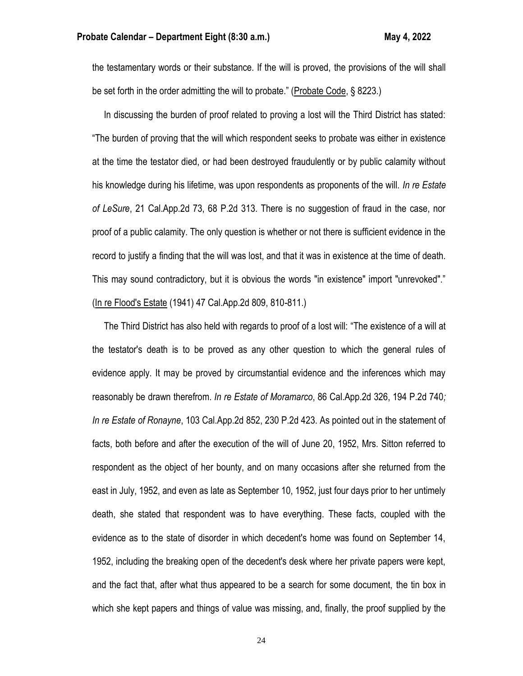the testamentary words or their substance. If the will is proved, the provisions of the will shall be set forth in the order admitting the will to probate." (Probate Code, § 8223.)

 In discussing the burden of proof related to proving a lost will the Third District has stated: "The burden of proving that the will which respondent seeks to probate was either in existence at the time the testator died, or had been destroyed fraudulently or by public calamity without his knowledge during his lifetime, was upon respondents as proponents of the will. *In re Estate of LeSure*, 21 Cal.App.2d 73, 68 P.2d 313. There is no suggestion of fraud in the case, nor proof of a public calamity. The only question is whether or not there is sufficient evidence in the record to justify a finding that the will was lost, and that it was in existence at the time of death. This may sound contradictory, but it is obvious the words "in existence" import "unrevoked"." (In re Flood's Estate (1941) 47 Cal.App.2d 809, 810-811.)

 The Third District has also held with regards to proof of a lost will: "The existence of a will at the testator's death is to be proved as any other question to which the general rules of evidence apply. It may be proved by circumstantial evidence and the inferences which may reasonably be drawn therefrom. *In re Estate of Moramarco*, 86 Cal.App.2d 326, 194 P.2d 740*; In re Estate of Ronayne*, 103 Cal.App.2d 852, 230 P.2d 423. As pointed out in the statement of facts, both before and after the execution of the will of June 20, 1952, Mrs. Sitton referred to respondent as the object of her bounty, and on many occasions after she returned from the east in July, 1952, and even as late as September 10, 1952, just four days prior to her untimely death, she stated that respondent was to have everything. These facts, coupled with the evidence as to the state of disorder in which decedent's home was found on September 14, 1952, including the breaking open of the decedent's desk where her private papers were kept, and the fact that, after what thus appeared to be a search for some document, the tin box in which she kept papers and things of value was missing, and, finally, the proof supplied by the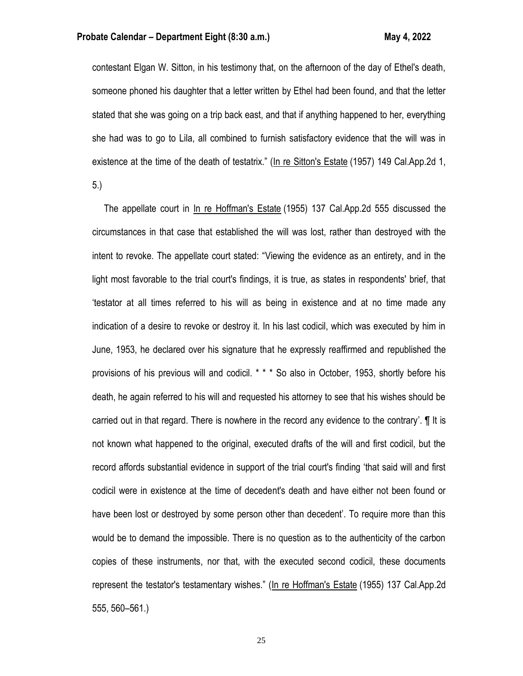### **Probate Calendar – Department Eight (8:30 a.m.) May 4, 2022**

contestant Elgan W. Sitton, in his testimony that, on the afternoon of the day of Ethel's death, someone phoned his daughter that a letter written by Ethel had been found, and that the letter stated that she was going on a trip back east, and that if anything happened to her, everything she had was to go to Lila, all combined to furnish satisfactory evidence that the will was in existence at the time of the death of testatrix." (In re Sitton's Estate (1957) 149 Cal.App.2d 1, 5.)

 The appellate court in In re Hoffman's Estate (1955) 137 Cal.App.2d 555 discussed the circumstances in that case that established the will was lost, rather than destroyed with the intent to revoke. The appellate court stated: "Viewing the evidence as an entirety, and in the light most favorable to the trial court's findings, it is true, as states in respondents' brief, that 'testator at all times referred to his will as being in existence and at no time made any indication of a desire to revoke or destroy it. In his last codicil, which was executed by him in June, 1953, he declared over his signature that he expressly reaffirmed and republished the provisions of his previous will and codicil. \* \* \* So also in October, 1953, shortly before his death, he again referred to his will and requested his attorney to see that his wishes should be carried out in that regard. There is nowhere in the record any evidence to the contrary'. ¶ It is not known what happened to the original, executed drafts of the will and first codicil, but the record affords substantial evidence in support of the trial court's finding 'that said will and first codicil were in existence at the time of decedent's death and have either not been found or have been lost or destroyed by some person other than decedent'. To require more than this would be to demand the impossible. There is no question as to the authenticity of the carbon copies of these instruments, nor that, with the executed second codicil, these documents represent the testator's testamentary wishes." (In re Hoffman's Estate (1955) 137 Cal.App.2d 555, 560–561.)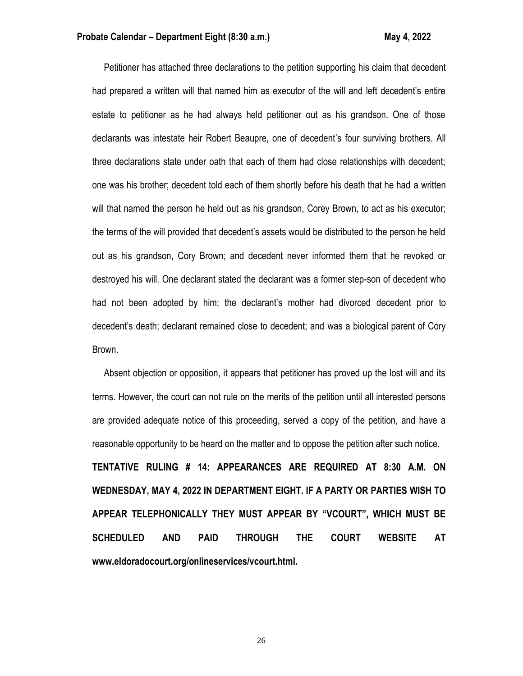Petitioner has attached three declarations to the petition supporting his claim that decedent had prepared a written will that named him as executor of the will and left decedent's entire estate to petitioner as he had always held petitioner out as his grandson. One of those declarants was intestate heir Robert Beaupre, one of decedent's four surviving brothers. All three declarations state under oath that each of them had close relationships with decedent; one was his brother; decedent told each of them shortly before his death that he had a written will that named the person he held out as his grandson, Corey Brown, to act as his executor; the terms of the will provided that decedent's assets would be distributed to the person he held out as his grandson, Cory Brown; and decedent never informed them that he revoked or destroyed his will. One declarant stated the declarant was a former step-son of decedent who had not been adopted by him; the declarant's mother had divorced decedent prior to decedent's death; declarant remained close to decedent; and was a biological parent of Cory Brown.

 Absent objection or opposition, it appears that petitioner has proved up the lost will and its terms. However, the court can not rule on the merits of the petition until all interested persons are provided adequate notice of this proceeding, served a copy of the petition, and have a reasonable opportunity to be heard on the matter and to oppose the petition after such notice. **TENTATIVE RULING # 14: APPEARANCES ARE REQUIRED AT 8:30 A.M. ON WEDNESDAY, MAY 4, 2022 IN DEPARTMENT EIGHT. IF A PARTY OR PARTIES WISH TO APPEAR TELEPHONICALLY THEY MUST APPEAR BY "VCOURT", WHICH MUST BE SCHEDULED AND PAID THROUGH THE COURT WEBSITE AT www.eldoradocourt.org/onlineservices/vcourt.html.**